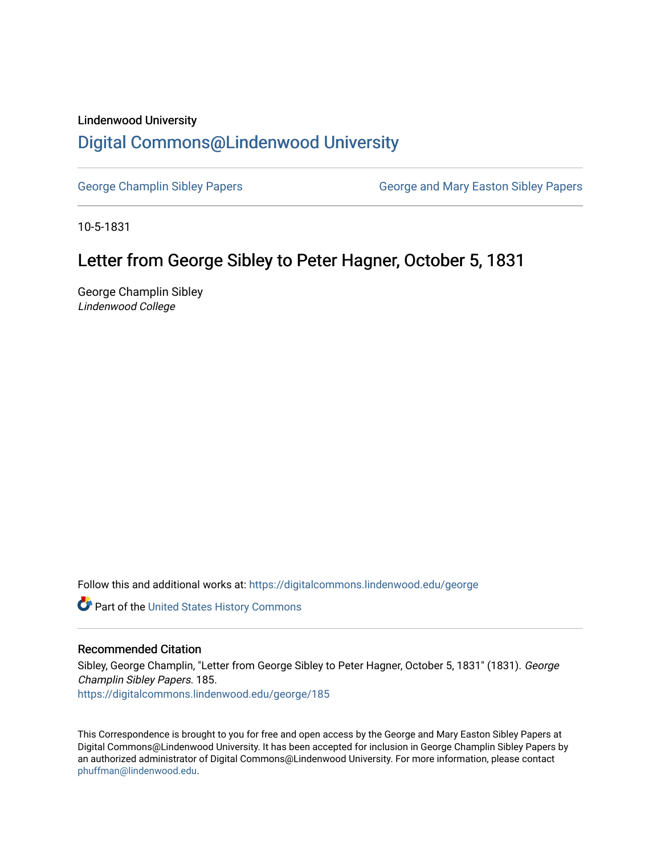## Lindenwood University

## [Digital Commons@Lindenwood University](https://digitalcommons.lindenwood.edu/)

[George Champlin Sibley Papers](https://digitalcommons.lindenwood.edu/george) George and Mary Easton Sibley Papers

10-5-1831

## Letter from George Sibley to Peter Hagner, October 5, 1831

George Champlin Sibley Lindenwood College

Follow this and additional works at: [https://digitalcommons.lindenwood.edu/george](https://digitalcommons.lindenwood.edu/george?utm_source=digitalcommons.lindenwood.edu%2Fgeorge%2F185&utm_medium=PDF&utm_campaign=PDFCoverPages)

Part of the [United States History Commons](http://network.bepress.com/hgg/discipline/495?utm_source=digitalcommons.lindenwood.edu%2Fgeorge%2F185&utm_medium=PDF&utm_campaign=PDFCoverPages) 

## Recommended Citation

Sibley, George Champlin, "Letter from George Sibley to Peter Hagner, October 5, 1831" (1831). George Champlin Sibley Papers. 185. [https://digitalcommons.lindenwood.edu/george/185](https://digitalcommons.lindenwood.edu/george/185?utm_source=digitalcommons.lindenwood.edu%2Fgeorge%2F185&utm_medium=PDF&utm_campaign=PDFCoverPages)

This Correspondence is brought to you for free and open access by the George and Mary Easton Sibley Papers at Digital Commons@Lindenwood University. It has been accepted for inclusion in George Champlin Sibley Papers by an authorized administrator of Digital Commons@Lindenwood University. For more information, please contact [phuffman@lindenwood.edu](mailto:phuffman@lindenwood.edu).